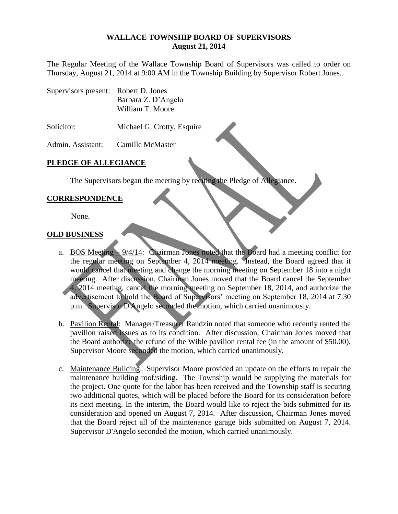#### **WALLACE TOWNSHIP BOARD OF SUPERVISORS August 21, 2014**

The Regular Meeting of the Wallace Township Board of Supervisors was called to order on Thursday, August 21, 2014 at 9:00 AM in the Township Building by Supervisor Robert Jones.

Supervisors present: Robert D. Jones Barbara Z. D'Angelo William T. Moore

Solicitor: Michael G. Crotty, Esquire

Admin. Assistant: Camille McMaster

### **PLEDGE OF ALLEGIANCE**

The Supervisors began the meeting by reciting the Pledge of Allegiance.

### **CORRESPONDENCE**

None.

### **OLD BUSINESS**

- a. BOS Meeting 9/4/14: Chairman Jones noted that the Board had a meeting conflict for the regular meeting on September 4, 2014 meeting. Instead, the Board agreed that it would cancel that meeting and change the morning meeting on September 18 into a night meeting. After discussion, Chairman Jones moved that the Board cancel the September 4, 2014 meeting, cancel the morning meeting on September 18, 2014, and authorize the advertisement to hold the Board of Supervisors' meeting on September 18, 2014 at 7:30 p.m. Supervisor D'Angelo seconded the motion, which carried unanimously.
- b. Pavilion Rental: Manager/Treasurer Randzin noted that someone who recently rented the pavilion raised issues as to its condition. After discussion, Chairman Jones moved that the Board authorize the refund of the Wible pavilion rental fee (in the amount of \$50.00). Supervisor Moore seconded the motion, which carried unanimously.
- c. Maintenance Building: Supervisor Moore provided an update on the efforts to repair the maintenance building roof/siding. The Township would be supplying the materials for the project. One quote for the labor has been received and the Township staff is securing two additional quotes, which will be placed before the Board for its consideration before its next meeting. In the interim, the Board would like to reject the bids submitted for its consideration and opened on August 7, 2014. After discussion, Chairman Jones moved that the Board reject all of the maintenance garage bids submitted on August 7, 2014. Supervisor D'Angelo seconded the motion, which carried unanimously.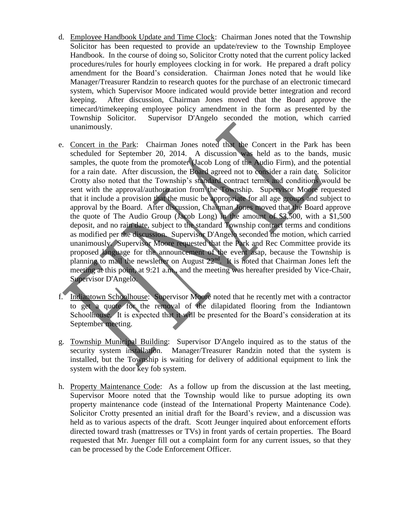- d. Employee Handbook Update and Time Clock: Chairman Jones noted that the Township Solicitor has been requested to provide an update/review to the Township Employee Handbook. In the course of doing so, Solicitor Crotty noted that the current policy lacked procedures/rules for hourly employees clocking in for work. He prepared a draft policy amendment for the Board's consideration. Chairman Jones noted that he would like Manager/Treasurer Randzin to research quotes for the purchase of an electronic timecard system, which Supervisor Moore indicated would provide better integration and record keeping. After discussion, Chairman Jones moved that the Board approve the timecard/timekeeping employee policy amendment in the form as presented by the Township Solicitor. Supervisor D'Angelo seconded the motion, which carried unanimously.
- e. Concert in the Park: Chairman Jones noted that the Concert in the Park has been scheduled for September 20, 2014. A discussion was held as to the bands, music samples, the quote from the promoter (Jacob Long of the Audio Firm), and the potential for a rain date. After discussion, the Board agreed not to consider a rain date. Solicitor Crotty also noted that the Township's standard contract terms and conditions would be sent with the approval/authorization from the Township. Supervisor Moore requested that it include a provision that the music be appropriate for all age groups and subject to approval by the Board. After discussion, Chairman Jones moved that the Board approve the quote of The Audio Group (Jacob Long) in the amount of \$3,500, with a \$1,500 deposit, and no rain date, subject to the standard Township contract terms and conditions as modified per the discussion. Supervisor D'Angelo seconded the motion, which carried unanimously. Supervisor Moore requested that the Park and Rec Committee provide its proposed language for the announcement of the event asap, because the Township is planning to mail the newsletter on August 22<sup>nd</sup>. It is noted that Chairman Jones left the meeting at this point, at 9:21 a.m., and the meeting was hereafter presided by Vice-Chair, Supervisor D'Angelo.
- f. Indiantown Schoolhouse: Supervisor Moore noted that he recently met with a contractor to get a quote for the removal of the dilapidated flooring from the Indiantown Schoolhouse. It is expected that it will be presented for the Board's consideration at its September meeting.
- g. Township Municipal Building: Supervisor D'Angelo inquired as to the status of the security system installation. Manager/Treasurer Randzin noted that the system is installed, but the Township is waiting for delivery of additional equipment to link the system with the door key fob system.
- h. Property Maintenance Code: As a follow up from the discussion at the last meeting, Supervisor Moore noted that the Township would like to pursue adopting its own property maintenance code (instead of the International Property Maintenance Code). Solicitor Crotty presented an initial draft for the Board's review, and a discussion was held as to various aspects of the draft. Scott Jeunger inquired about enforcement efforts directed toward trash (mattresses or TVs) in front yards of certain properties. The Board requested that Mr. Juenger fill out a complaint form for any current issues, so that they can be processed by the Code Enforcement Officer.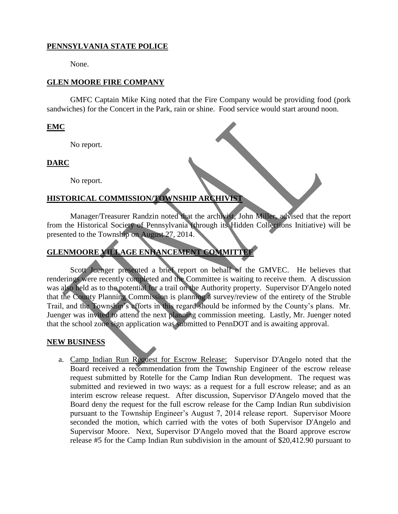## **PENNSYLVANIA STATE POLICE**

None.

### **GLEN MOORE FIRE COMPANY**

GMFC Captain Mike King noted that the Fire Company would be providing food (pork sandwiches) for the Concert in the Park, rain or shine. Food service would start around noon.

### **EMC**

No report.

## **DARC**

No report.

# **HISTORICAL COMMISSION/TOWNSHIP ARCHIVIST**

Manager/Treasurer Randzin noted that the archivist, John Miller, advised that the report from the Historical Society of Pennsylvania (through its Hidden Collections Initiative) will be presented to the Township on August 27, 2014.

# **GLENMOORE VILLAGE ENHANCEMENT COMMITTEE**

Scott Juenger presented a brief report on behalf of the GMVEC. He believes that renderings were recently completed and the Committee is waiting to receive them. A discussion was also held as to the potential for a trail on the Authority property. Supervisor D'Angelo noted that the County Planning Commission is planning a survey/review of the entirety of the Struble Trail, and the Township's efforts in this regard should be informed by the County's plans. Mr. Juenger was invited to attend the next planning commission meeting. Lastly, Mr. Juenger noted that the school zone sign application was submitted to PennDOT and is awaiting approval.

### **NEW BUSINESS**

a. Camp Indian Run Request for Escrow Release: Supervisor D'Angelo noted that the Board received a recommendation from the Township Engineer of the escrow release request submitted by Rotelle for the Camp Indian Run development. The request was submitted and reviewed in two ways: as a request for a full escrow release; and as an interim escrow release request. After discussion, Supervisor D'Angelo moved that the Board deny the request for the full escrow release for the Camp Indian Run subdivision pursuant to the Township Engineer's August 7, 2014 release report. Supervisor Moore seconded the motion, which carried with the votes of both Supervisor D'Angelo and Supervisor Moore. Next, Supervisor D'Angelo moved that the Board approve escrow release #5 for the Camp Indian Run subdivision in the amount of \$20,412.90 pursuant to